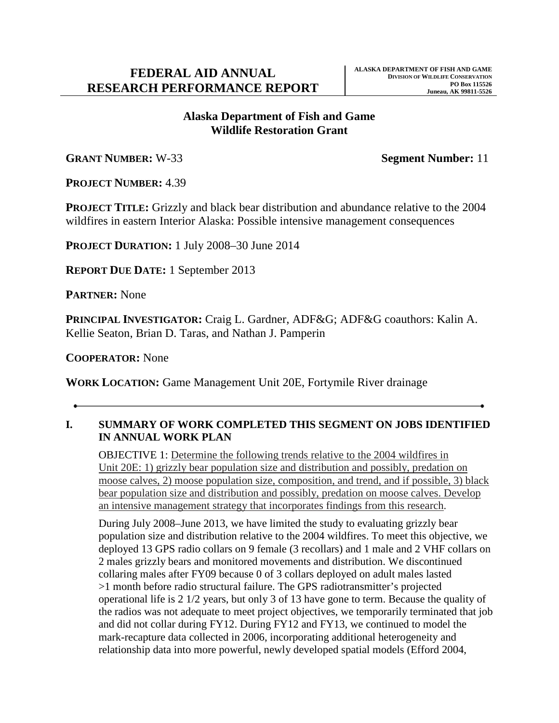# **Wildlife Restoration Grant Alaska Department of Fish and Game**

**GRANT NUMBER:** W-33 **Segment Number:** 11

**PROJECT NUMBER:** 4.39

 **PROJECT TITLE:** Grizzly and black bear distribution and abundance relative to the 2004 wildfires in eastern Interior Alaska: Possible intensive management consequences

**PROJECT DURATION:** 1 July 2008–30 June 2014

**REPORT DUE DATE:** 1 September 2013

**PARTNER:** None

 **PRINCIPAL INVESTIGATOR:** Craig L. Gardner, ADF&G; ADF&G coauthors: Kalin A. Kellie Seaton, Brian D. Taras, and Nathan J. Pamperin

**COOPERATOR:** None

**WORK LOCATION:** Game Management Unit 20E, Fortymile River drainage

# **IN ANNUAL WORK PLAN I. SUMMARY OF WORK COMPLETED THIS SEGMENT ON JOBS IDENTIFIED**

OBJECTIVE 1: Determine the following trends relative to the 2004 wildfires in Unit 20E: 1) grizzly bear population size and distribution and possibly, predation on moose calves, 2) moose population size, composition, and trend, and if possible, 3) black bear population size and distribution and possibly, predation on moose calves. Develop an intensive management strategy that incorporates findings from this research .

 deployed 13 GPS radio collars on 9 female (3 recollars) and 1 male and 2 VHF collars on and did not collar during FY12. During FY12 and FY13, we continued to model the During July 2008–June 2013, we have limited the study to evaluating grizzly bear population size and distribution relative to the 2004 wildfires. To meet this objective, we 2 males grizzly bears and monitored movements and distribution. We discontinued collaring males after FY09 because 0 of 3 collars deployed on adult males lasted >1 month before radio structural failure. The GPS radiotransmitter's projected operational life is 2 1/2 years, but only 3 of 13 have gone to term. Because the quality of the radios was not adequate to meet project objectives, we temporarily terminated that job mark-recapture data collected in 2006, incorporating additional heterogeneity and relationship data into more powerful, newly developed spatial models (Efford 2004,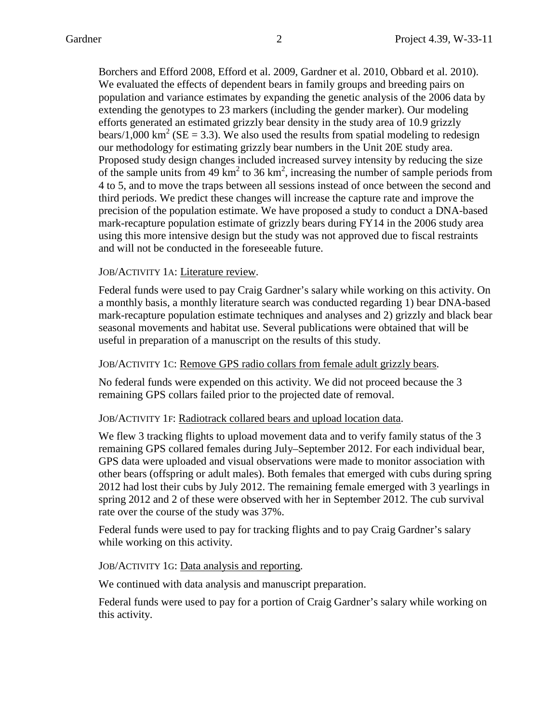We evaluated the effects of dependent bears in family groups and breeding pairs on population and variance estimates by expanding the genetic analysis of the 2006 data by extending the genotypes to 23 markers (including the gender marker). Our modeling bears/1,000 km<sup>2</sup> (SE = 3.3). We also used the results from spatial modeling to redesign our methodology for estimating grizzly bear numbers in the Unit 20E study area. of the sample units from 49  $\text{km}^2$  to 36  $\text{km}^2$ , increasing the number of sample periods from 4 to 5, and to move the traps between all sessions instead of once between the second and using this more intensive design but the study was not approved due to fiscal restraints and will not be conducted in the foreseeable future. Borchers and Efford 2008, Efford et al. 2009, Gardner et al. 2010, Obbard et al. 2010). efforts generated an estimated grizzly bear density in the study area of 10.9 grizzly Proposed study design changes included increased survey intensity by reducing the size third periods. We predict these changes will increase the capture rate and improve the precision of the population estimate. We have proposed a study to conduct a DNA-based mark-recapture population estimate of grizzly bears during FY14 in the 2006 study area

# JOB/ACTIVITY 1A: Literature review.

 Federal funds were used to pay Craig Gardner's salary while working on this activity. On mark-recapture population estimate techniques and analyses and 2) grizzly and black bear a monthly basis, a monthly literature search was conducted regarding 1) bear DNA-based seasonal movements and habitat use. Several publications were obtained that will be useful in preparation of a manuscript on the results of this study.

## JOB/ACTIVITY 1C: Remove GPS radio collars from female adult grizzly bears .

No federal funds were expended on this activity. We did not proceed because the 3 remaining GPS collars failed prior to the projected date of removal.

#### JOB/ACTIVITY 1F: Radiotrack collared bears and upload location data .

 spring 2012 and 2 of these were observed with her in September 2012. The cub survival We flew 3 tracking flights to upload movement data and to verify family status of the 3 remaining GPS collared females during July–September 2012. For each individual bear, GPS data were uploaded and visual observations were made to monitor association with other bears (offspring or adult males). Both females that emerged with cubs during spring 2012 had lost their cubs by July 2012. The remaining female emerged with 3 yearlings in rate over the course of the study was 37%.

Federal funds were used to pay for tracking flights and to pay Craig Gardner's salary while working on this activity.

#### JOB/ACTIVITY 1G: Data analysis and reporting.

We continued with data analysis and manuscript preparation.

Federal funds were used to pay for a portion of Craig Gardner's salary while working on this activity.